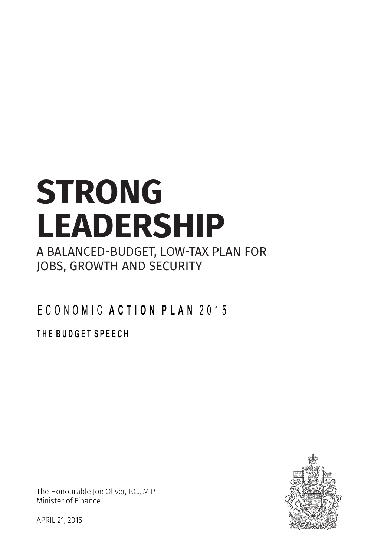# **STRONG LEADERSHIP**

A BALANCED-BUDGET, LOW-TAX PLAN FOR JOBS, GROWTH AND SECURITY

#### E C O N O M I C **A C T I O N P L A N** 2 0 1 5

**T H E B U D G E T S P E E C H**



The Honourable Joe Oliver, P.C., M.P. Minister of Finance

APRIL 21, 2015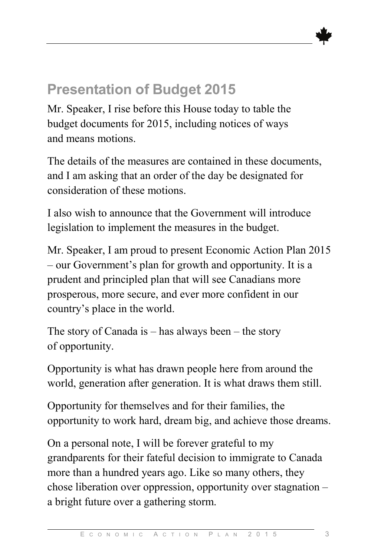# **Presentation of Budget 2015**

Mr. Speaker, I rise before this House today to table the budget documents for 2015, including notices of ways and means motions.

The details of the measures are contained in these documents, and I am asking that an order of the day be designated for consideration of these motions.

I also wish to announce that the Government will introduce legislation to implement the measures in the budget.

Mr. Speaker, I am proud to present Economic Action Plan 2015 – our Government's plan for growth and opportunity. It is a prudent and principled plan that will see Canadians more prosperous, more secure, and ever more confident in our country's place in the world.

The story of Canada is  $-$  has always been  $-$  the story of opportunity.

Opportunity is what has drawn people here from around the world, generation after generation. It is what draws them still.

Opportunity for themselves and for their families, the opportunity to work hard, dream big, and achieve those dreams.

On a personal note, I will be forever grateful to my grandparents for their fateful decision to immigrate to Canada more than a hundred years ago. Like so many others, they chose liberation over oppression, opportunity over stagnation – a bright future over a gathering storm.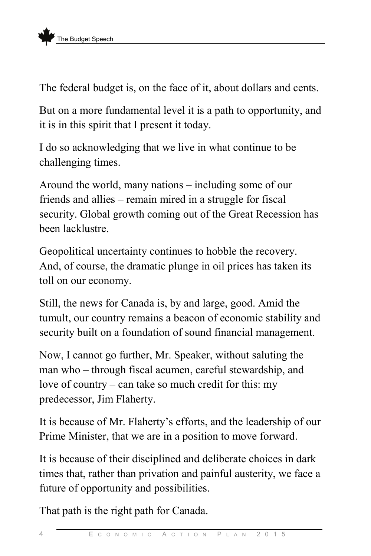The federal budget is, on the face of it, about dollars and cents.

But on a more fundamental level it is a path to opportunity, and it is in this spirit that I present it today.

I do so acknowledging that we live in what continue to be challenging times.

Around the world, many nations – including some of our friends and allies – remain mired in a struggle for fiscal security. Global growth coming out of the Great Recession has been lacklustre.

Geopolitical uncertainty continues to hobble the recovery. And, of course, the dramatic plunge in oil prices has taken its toll on our economy.

Still, the news for Canada is, by and large, good. Amid the tumult, our country remains a beacon of economic stability and security built on a foundation of sound financial management.

Now, I cannot go further, Mr. Speaker, without saluting the man who – through fiscal acumen, careful stewardship, and love of country – can take so much credit for this: my predecessor, Jim Flaherty.

It is because of Mr. Flaherty's efforts, and the leadership of our Prime Minister, that we are in a position to move forward.

It is because of their disciplined and deliberate choices in dark times that, rather than privation and painful austerity, we face a future of opportunity and possibilities.

That path is the right path for Canada.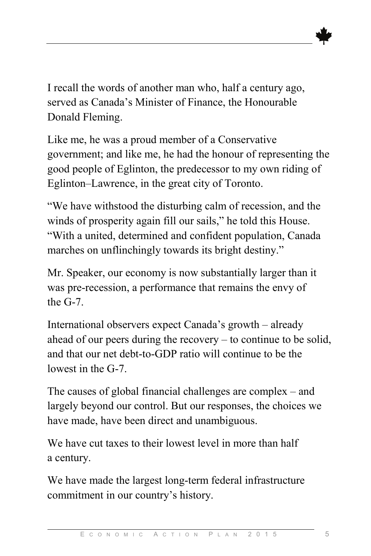I recall the words of another man who, half a century ago, served as Canada's Minister of Finance, the Honourable Donald Fleming.

Like me, he was a proud member of a Conservative government; and like me, he had the honour of representing the good people of Eglinton, the predecessor to my own riding of Eglinton–Lawrence, in the great city of Toronto.

"We have withstood the disturbing calm of recession, and the winds of prosperity again fill our sails," he told this House. "With a united, determined and confident population, Canada marches on unflinchingly towards its bright destiny."

Mr. Speaker, our economy is now substantially larger than it was pre-recession, a performance that remains the envy of the G-7.

International observers expect Canada's growth – already ahead of our peers during the recovery – to continue to be solid, and that our net debt-to-GDP ratio will continue to be the lowest in the G-7.

The causes of global financial challenges are complex – and largely beyond our control. But our responses, the choices we have made, have been direct and unambiguous.

We have cut taxes to their lowest level in more than half a century.

We have made the largest long-term federal infrastructure commitment in our country's history.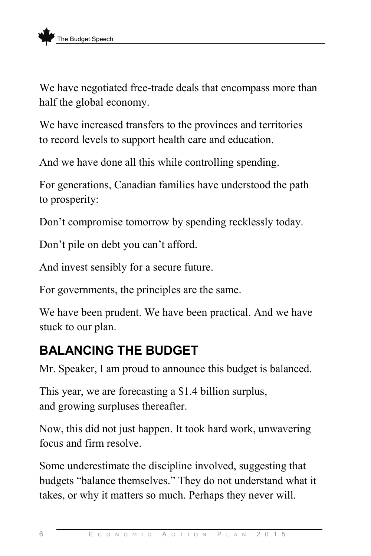We have negotiated free-trade deals that encompass more than half the global economy.

We have increased transfers to the provinces and territories to record levels to support health care and education.

And we have done all this while controlling spending.

For generations, Canadian families have understood the path to prosperity:

Don't compromise tomorrow by spending recklessly today.

Don't pile on debt you can't afford.

And invest sensibly for a secure future.

For governments, the principles are the same.

We have been prudent. We have been practical. And we have stuck to our plan.

#### **BALANCING THE BUDGET**

Mr. Speaker, I am proud to announce this budget is balanced.

This year, we are forecasting a \$1.4 billion surplus, and growing surpluses thereafter.

Now, this did not just happen. It took hard work, unwavering focus and firm resolve.

Some underestimate the discipline involved, suggesting that budgets "balance themselves." They do not understand what it takes, or why it matters so much. Perhaps they never will.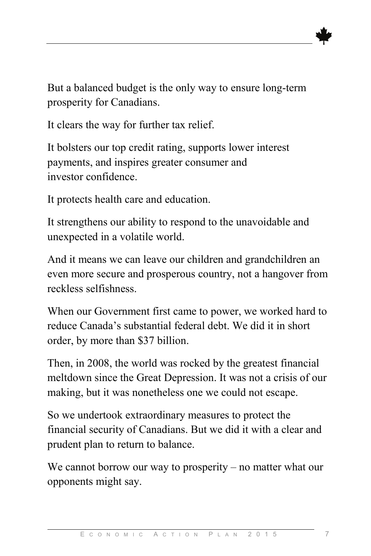But a balanced budget is the only way to ensure long-term prosperity for Canadians.

It clears the way for further tax relief.

It bolsters our top credit rating, supports lower interest payments, and inspires greater consumer and investor confidence.

It protects health care and education.

It strengthens our ability to respond to the unavoidable and unexpected in a volatile world.

And it means we can leave our children and grandchildren an even more secure and prosperous country, not a hangover from reckless selfishness.

When our Government first came to power, we worked hard to reduce Canada's substantial federal debt. We did it in short order, by more than \$37 billion.

Then, in 2008, the world was rocked by the greatest financial meltdown since the Great Depression. It was not a crisis of our making, but it was nonetheless one we could not escape.

So we undertook extraordinary measures to protect the financial security of Canadians. But we did it with a clear and prudent plan to return to balance.

We cannot borrow our way to prosperity – no matter what our opponents might say.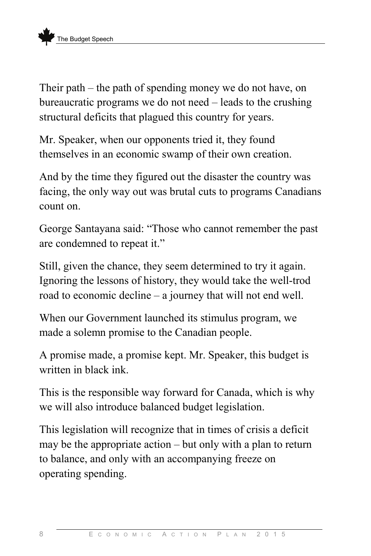Their path – the path of spending money we do not have, on bureaucratic programs we do not need – leads to the crushing structural deficits that plagued this country for years.

Mr. Speaker, when our opponents tried it, they found themselves in an economic swamp of their own creation.

And by the time they figured out the disaster the country was facing, the only way out was brutal cuts to programs Canadians count on.

George Santayana said: "Those who cannot remember the past are condemned to repeat it."

Still, given the chance, they seem determined to try it again. Ignoring the lessons of history, they would take the well-trod road to economic decline – a journey that will not end well.

When our Government launched its stimulus program, we made a solemn promise to the Canadian people.

A promise made, a promise kept. Mr. Speaker, this budget is written in black ink.

This is the responsible way forward for Canada, which is why we will also introduce balanced budget legislation.

This legislation will recognize that in times of crisis a deficit may be the appropriate action – but only with a plan to return to balance, and only with an accompanying freeze on operating spending.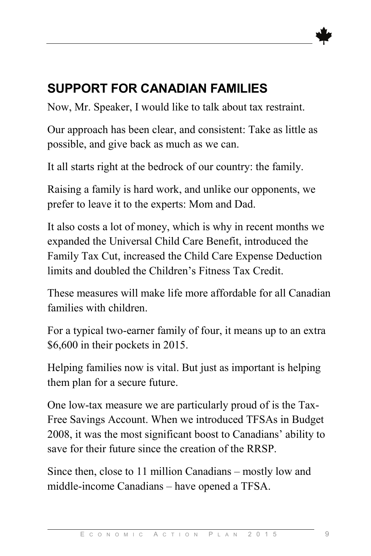## **SUPPORT FOR CANADIAN FAMILIES**

Now, Mr. Speaker, I would like to talk about tax restraint.

Our approach has been clear, and consistent: Take as little as possible, and give back as much as we can.

It all starts right at the bedrock of our country: the family.

Raising a family is hard work, and unlike our opponents, we prefer to leave it to the experts: Mom and Dad.

It also costs a lot of money, which is why in recent months we expanded the Universal Child Care Benefit, introduced the Family Tax Cut, increased the Child Care Expense Deduction limits and doubled the Children's Fitness Tax Credit.

These measures will make life more affordable for all Canadian families with children.

For a typical two-earner family of four, it means up to an extra \$6,600 in their pockets in 2015.

Helping families now is vital. But just as important is helping them plan for a secure future.

One low-tax measure we are particularly proud of is the Tax-Free Savings Account. When we introduced TFSAs in Budget 2008, it was the most significant boost to Canadians' ability to save for their future since the creation of the RRSP.

Since then, close to 11 million Canadians – mostly low and middle-income Canadians – have opened a TFSA.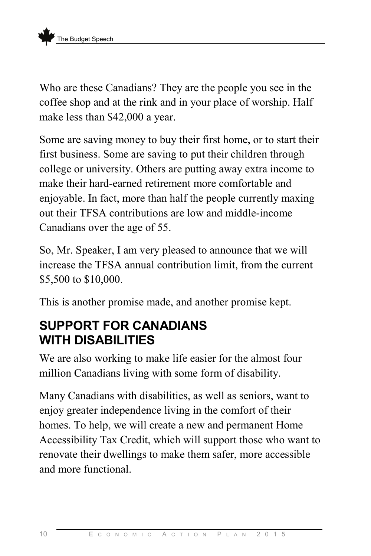

Who are these Canadians? They are the people you see in the coffee shop and at the rink and in your place of worship. Half make less than \$42,000 a year.

Some are saving money to buy their first home, or to start their first business. Some are saving to put their children through college or university. Others are putting away extra income to make their hard-earned retirement more comfortable and enjoyable. In fact, more than half the people currently maxing out their TFSA contributions are low and middle-income Canadians over the age of 55.

So, Mr. Speaker, I am very pleased to announce that we will increase the TFSA annual contribution limit, from the current \$5,500 to \$10,000.

This is another promise made, and another promise kept.

#### **SUPPORT FOR CANADIANS WITH DISABILITIES**

We are also working to make life easier for the almost four million Canadians living with some form of disability.

Many Canadians with disabilities, as well as seniors, want to enjoy greater independence living in the comfort of their homes. To help, we will create a new and permanent Home Accessibility Tax Credit, which will support those who want to renovate their dwellings to make them safer, more accessible and more functional.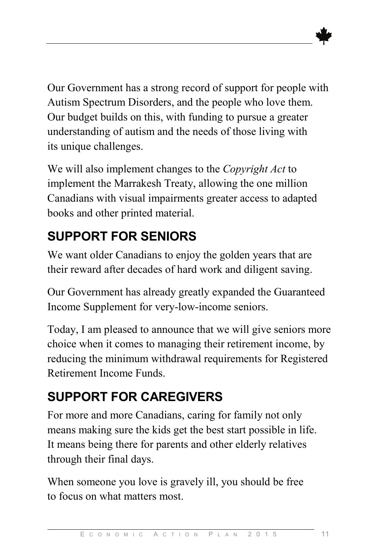Our Government has a strong record of support for people with Autism Spectrum Disorders, and the people who love them. Our budget builds on this, with funding to pursue a greater understanding of autism and the needs of those living with its unique challenges.

We will also implement changes to the *Copyright Act* to implement the Marrakesh Treaty, allowing the one million Canadians with visual impairments greater access to adapted books and other printed material.

# **SUPPORT FOR SENIORS**

We want older Canadians to enjoy the golden years that are their reward after decades of hard work and diligent saving.

Our Government has already greatly expanded the Guaranteed Income Supplement for very-low-income seniors.

Today, I am pleased to announce that we will give seniors more choice when it comes to managing their retirement income, by reducing the minimum withdrawal requirements for Registered Retirement Income Funds.

## **SUPPORT FOR CAREGIVERS**

For more and more Canadians, caring for family not only means making sure the kids get the best start possible in life. It means being there for parents and other elderly relatives through their final days.

When someone you love is gravely ill, you should be free to focus on what matters most.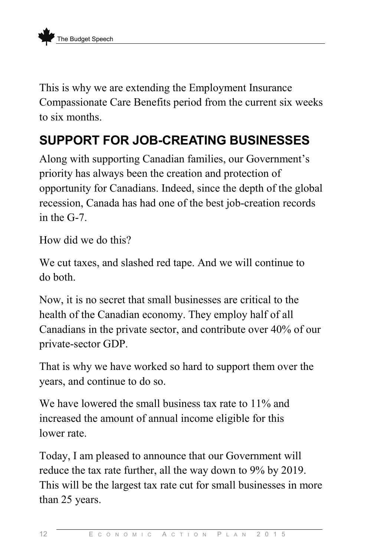This is why we are extending the Employment Insurance Compassionate Care Benefits period from the current six weeks to six months.

## **SUPPORT FOR JOB-CREATING BUSINESSES**

Along with supporting Canadian families, our Government's priority has always been the creation and protection of opportunity for Canadians. Indeed, since the depth of the global recession, Canada has had one of the best job-creation records in the G-7.

How did we do this?

We cut taxes, and slashed red tape. And we will continue to do both.

Now, it is no secret that small businesses are critical to the health of the Canadian economy. They employ half of all Canadians in the private sector, and contribute over 40% of our private-sector GDP.

That is why we have worked so hard to support them over the years, and continue to do so.

We have lowered the small business tax rate to 11% and increased the amount of annual income eligible for this lower rate.

Today, I am pleased to announce that our Government will reduce the tax rate further, all the way down to 9% by 2019. This will be the largest tax rate cut for small businesses in more than 25 years.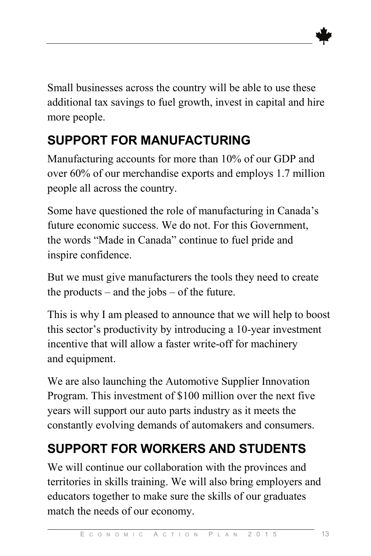Small businesses across the country will be able to use these additional tax savings to fuel growth, invest in capital and hire more people.

# **SUPPORT FOR MANUFACTURING**

Manufacturing accounts for more than 10% of our GDP and over 60% of our merchandise exports and employs 1.7 million people all across the country.

Some have questioned the role of manufacturing in Canada's future economic success. We do not. For this Government, the words "Made in Canada" continue to fuel pride and inspire confidence.

But we must give manufacturers the tools they need to create the products – and the jobs – of the future.

This is why I am pleased to announce that we will help to boost this sector's productivity by introducing a 10-year investment incentive that will allow a faster write-off for machinery and equipment.

We are also launching the Automotive Supplier Innovation Program. This investment of \$100 million over the next five years will support our auto parts industry as it meets the constantly evolving demands of automakers and consumers.

# **SUPPORT FOR WORKERS AND STUDENTS**

We will continue our collaboration with the provinces and territories in skills training. We will also bring employers and educators together to make sure the skills of our graduates match the needs of our economy.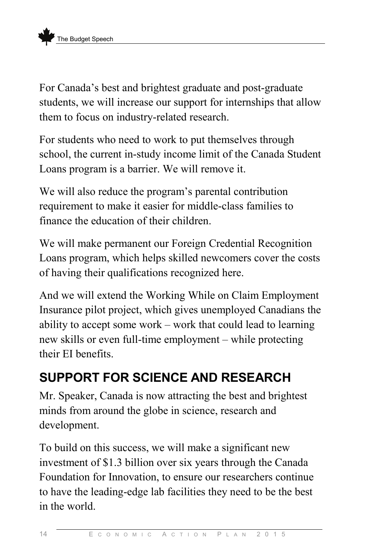For Canada's best and brightest graduate and post-graduate students, we will increase our support for internships that allow them to focus on industry-related research.

For students who need to work to put themselves through school, the current in-study income limit of the Canada Student Loans program is a barrier. We will remove it.

We will also reduce the program's parental contribution requirement to make it easier for middle-class families to finance the education of their children.

We will make permanent our Foreign Credential Recognition Loans program, which helps skilled newcomers cover the costs of having their qualifications recognized here.

And we will extend the Working While on Claim Employment Insurance pilot project, which gives unemployed Canadians the ability to accept some work – work that could lead to learning new skills or even full-time employment – while protecting their EI benefits.

#### **SUPPORT FOR SCIENCE AND RESEARCH**

Mr. Speaker, Canada is now attracting the best and brightest minds from around the globe in science, research and development.

To build on this success, we will make a significant new investment of \$1.3 billion over six years through the Canada Foundation for Innovation, to ensure our researchers continue to have the leading-edge lab facilities they need to be the best in the world.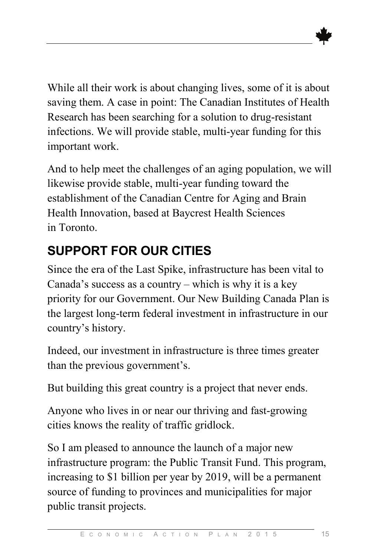While all their work is about changing lives, some of it is about saving them. A case in point: The Canadian Institutes of Health Research has been searching for a solution to drug-resistant infections. We will provide stable, multi-year funding for this important work.

And to help meet the challenges of an aging population, we will likewise provide stable, multi-year funding toward the establishment of the Canadian Centre for Aging and Brain Health Innovation, based at Baycrest Health Sciences in Toronto.

## **SUPPORT FOR OUR CITIES**

Since the era of the Last Spike, infrastructure has been vital to Canada's success as a country – which is why it is a key priority for our Government. Our New Building Canada Plan is the largest long-term federal investment in infrastructure in our country's history.

Indeed, our investment in infrastructure is three times greater than the previous government's.

But building this great country is a project that never ends.

Anyone who lives in or near our thriving and fast-growing cities knows the reality of traffic gridlock.

So I am pleased to announce the launch of a major new infrastructure program: the Public Transit Fund. This program, increasing to \$1 billion per year by 2019, will be a permanent source of funding to provinces and municipalities for major public transit projects.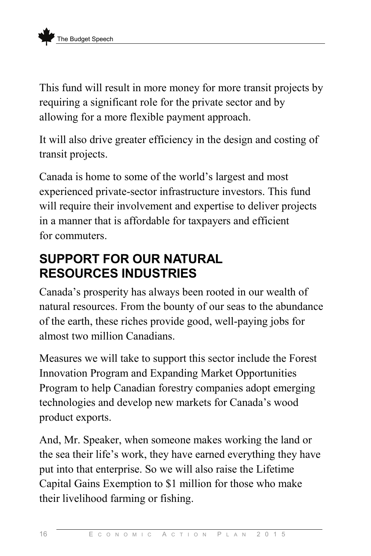This fund will result in more money for more transit projects by requiring a significant role for the private sector and by allowing for a more flexible payment approach.

It will also drive greater efficiency in the design and costing of transit projects.

Canada is home to some of the world's largest and most experienced private-sector infrastructure investors. This fund will require their involvement and expertise to deliver projects in a manner that is affordable for taxpayers and efficient for commuters.

#### **SUPPORT FOR OUR NATURAL RESOURCES INDUSTRIES**

Canada's prosperity has always been rooted in our wealth of natural resources. From the bounty of our seas to the abundance of the earth, these riches provide good, well-paying jobs for almost two million Canadians.

Measures we will take to support this sector include the Forest Innovation Program and Expanding Market Opportunities Program to help Canadian forestry companies adopt emerging technologies and develop new markets for Canada's wood product exports.

And, Mr. Speaker, when someone makes working the land or the sea their life's work, they have earned everything they have put into that enterprise. So we will also raise the Lifetime Capital Gains Exemption to \$1 million for those who make their livelihood farming or fishing.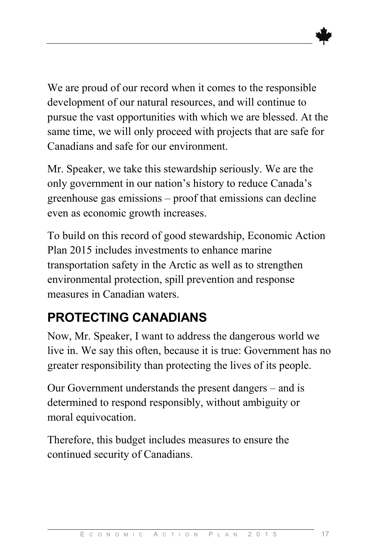We are proud of our record when it comes to the responsible development of our natural resources, and will continue to pursue the vast opportunities with which we are blessed. At the same time, we will only proceed with projects that are safe for Canadians and safe for our environment.

Mr. Speaker, we take this stewardship seriously. We are the only government in our nation's history to reduce Canada's greenhouse gas emissions – proof that emissions can decline even as economic growth increases.

To build on this record of good stewardship, Economic Action Plan 2015 includes investments to enhance marine transportation safety in the Arctic as well as to strengthen environmental protection, spill prevention and response measures in Canadian waters.

## **PROTECTING CANADIANS**

Now, Mr. Speaker, I want to address the dangerous world we live in. We say this often, because it is true: Government has no greater responsibility than protecting the lives of its people.

Our Government understands the present dangers – and is determined to respond responsibly, without ambiguity or moral equivocation.

Therefore, this budget includes measures to ensure the continued security of Canadians.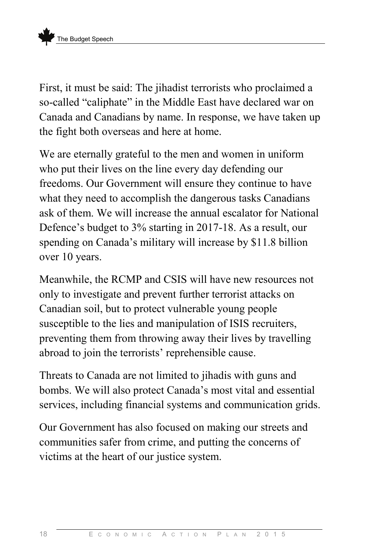First, it must be said: The jihadist terrorists who proclaimed a so-called "caliphate" in the Middle East have declared war on Canada and Canadians by name. In response, we have taken up the fight both overseas and here at home.

We are eternally grateful to the men and women in uniform who put their lives on the line every day defending our freedoms. Our Government will ensure they continue to have what they need to accomplish the dangerous tasks Canadians ask of them. We will increase the annual escalator for National Defence's budget to 3% starting in 2017-18. As a result, our spending on Canada's military will increase by \$11.8 billion over 10 years.

Meanwhile, the RCMP and CSIS will have new resources not only to investigate and prevent further terrorist attacks on Canadian soil, but to protect vulnerable young people susceptible to the lies and manipulation of ISIS recruiters, preventing them from throwing away their lives by travelling abroad to join the terrorists' reprehensible cause.

Threats to Canada are not limited to jihadis with guns and bombs. We will also protect Canada's most vital and essential services, including financial systems and communication grids.

Our Government has also focused on making our streets and communities safer from crime, and putting the concerns of victims at the heart of our justice system.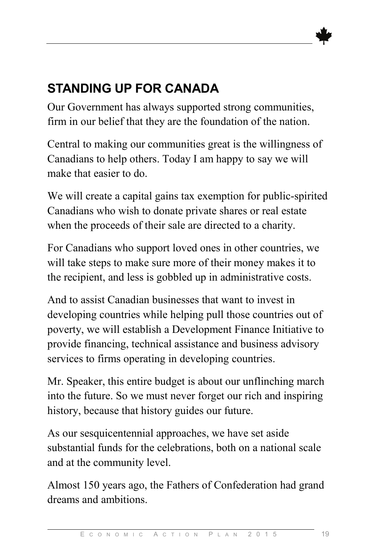## **STANDING UP FOR CANADA**

Our Government has always supported strong communities, firm in our belief that they are the foundation of the nation.

Central to making our communities great is the willingness of Canadians to help others. Today I am happy to say we will make that easier to do.

We will create a capital gains tax exemption for public-spirited Canadians who wish to donate private shares or real estate when the proceeds of their sale are directed to a charity.

For Canadians who support loved ones in other countries, we will take steps to make sure more of their money makes it to the recipient, and less is gobbled up in administrative costs.

And to assist Canadian businesses that want to invest in developing countries while helping pull those countries out of poverty, we will establish a Development Finance Initiative to provide financing, technical assistance and business advisory services to firms operating in developing countries.

Mr. Speaker, this entire budget is about our unflinching march into the future. So we must never forget our rich and inspiring history, because that history guides our future.

As our sesquicentennial approaches, we have set aside substantial funds for the celebrations, both on a national scale and at the community level.

Almost 150 years ago, the Fathers of Confederation had grand dreams and ambitions.